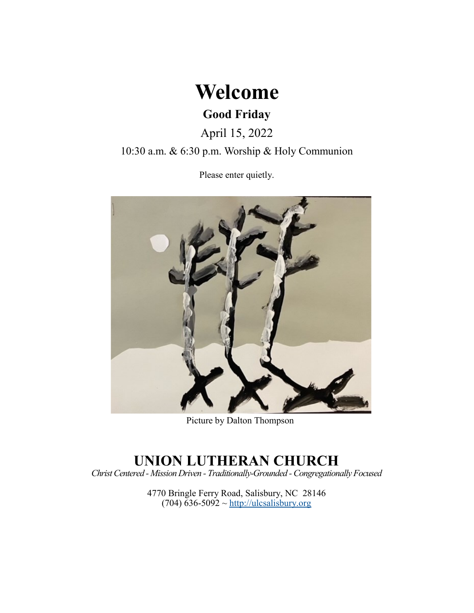

# **Good Friday**

April 15, 2022

10:30 a.m. & 6:30 p.m. Worship & Holy Communion

Please enter quietly.



Picture by Dalton Thompson

# **UNION LUTHERAN CHURCH**

*Christ Centered - Mission Driven - Traditionally-Grounded -Congregationally Focused*

4770 Bringle Ferry Road, Salisbury, NC 28146  $(704)$  636-5092 ~<http://ulcsalisbury.org>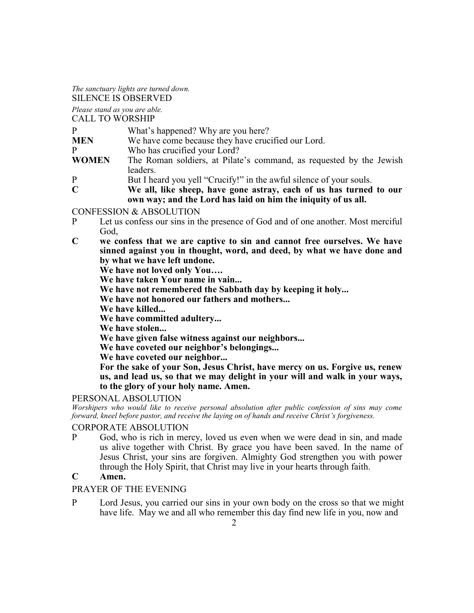*The sanctuary lights are turned down.*

SILENCE IS OBSERVED

*Please stand as you are able.*

CALL TO WORSHIP

- **MEN** We have come because they have crucified our Lord.
- P Who has crucified your Lord?
- **WOMEN** The Roman soldiers, at Pilate's command, as requested by the Jewish leaders.
- P But I heard you yell "Crucify!" in the awful silence of your souls.<br>C We all, like sheep, have gone astray, each of us has turned
	- **C We all, like sheep, have gone astray, each of us has turned to our own way; and the Lord has laid on him the iniquity of us all.**

CONFESSION & ABSOLUTION

- P Let us confess our sins in the presence of God and of one another. Most merciful God,
- **C we confess that we are captive to sin and cannot free ourselves. We have sinned against you in thought, word, and deed, by what we have done and by what we have left undone.**

**We have not loved only You….**

**We have taken Your name in vain...**

**We have not remembered the Sabbath day by keeping it holy...**

**We have not honored our fathers and mothers...**

**We have killed...**

**We have committed adultery...**

**We have stolen...**

**We have given false witness against our neighbors...**

**We have coveted our neighbor's belongings...**

**We have coveted our neighbor...**

**For the sake of your Son, Jesus Christ, have mercy on us. Forgive us, renew us, and lead us, so that we may delight in your will and walk in your ways, to the glory of your holy name. Amen.**

# PERSONAL ABSOLUTION

*Worshipers who would like to receive personal absolution after public confession of sins may come forward, kneel before pastor, and receive the laying on of hands and receive Christ's forgiveness.*

# CORPORATE ABSOLUTION

P God, who is rich in mercy, loved us even when we were dead in sin, and made us alive together with Christ. By grace you have been saved. In the name of Jesus Christ, your sins are forgiven. Almighty God strengthen you with power through the Holy Spirit, that Christ may live in your hearts through faith.

# **C Amen.**

# PRAYER OF THE EVENING

P Lord Jesus, you carried our sins in your own body on the cross so that we might have life. May we and all who remember this day find new life in you, now and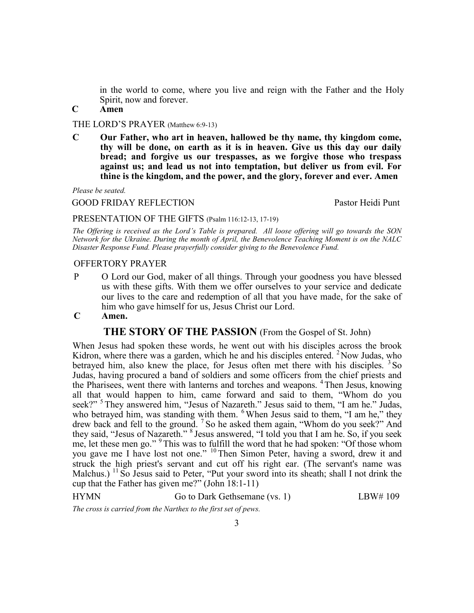in the world to come, where you live and reign with the Father and the Holy Spirit, now and forever.

**C Amen**

THE LORD'S PRAYER (Matthew 6:9-13)

**C Our Father, who art in heaven, hallowed be thy name, thy kingdom come, thy will be done, on earth as it is in heaven. Give us this day our daily bread; and forgive us our trespasses, as we forgive those who trespass against us; and lead us not into temptation, but deliver us from evil. For thine is the kingdom, and the power, and the glory, forever and ever. Amen**

*Please be seated.*

GOOD FRIDAY REFLECTION Pastor Heidi Punt

#### PRESENTATION OF THE GIFTS (Psalm 116:12-13, 17-19)

*The Offering is received as the Lord's Table is prepared. All loose offering will go towards the SON Network for the Ukraine. During the month of April, the Benevolence Teaching Moment is on the NALC Disaster Response Fund. Please prayerfully consider giving to the Benevolence Fund.*

#### OFFERTORY PRAYER

- P O Lord our God, maker of all things. Through your goodness you have blessed us with these gifts. With them we offer ourselves to your service and dedicate our lives to the care and redemption of all that you have made, for the sake of him who gave himself for us, Jesus Christ our Lord.
- **C Amen.**

#### **THE STORY OF THE PASSION** (From the Gospel of St. John)

When Jesus had spoken these words, he went out with his disciples across the brook Kidron, where there was a garden, which he and his disciples entered. <sup>2</sup> Now Judas, who betrayed him, also knew the place, for Jesus often met there with his disciples. <sup>3</sup>So Judas, having procured a band of soldiers and some officers from the chief priests and the Pharisees, went there with lanterns and torches and weapons. <sup>4</sup>Then Jesus, knowing all that would happen to him, came forward and said to them, "Whom do you seek?"<sup>5</sup> They answered him, "Jesus of Nazareth." Jesus said to them, "I am he." Judas, who betrayed him, was standing with them. <sup>6</sup> When Jesus said to them, "I am he," they drew back and fell to the ground. <sup>7</sup> So he asked them again, "Whom do you seek?" And they said, "Jesus of Nazareth." <sup>8</sup> Jesus answered, "I told you that I am he. So, if you seek me, let these men go." <sup>9</sup> This was to fulfill the word that he had spoken: "Of those whom you gave me I have lost not one." <sup>10</sup> Then Simon Peter, having a sword, drew it and struck the high priest's servant and cut off his right ear. (The servant's name was Malchus.)  $^{11}$  So Jesus said to Peter, "Put your sword into its sheath; shall I not drink the cup that the Father has given me?" (John 18:1-11)

HYMN Go to Dark Gethsemane (vs. 1) LBW# 109

*The cross is carried from the Narthex to the first set of pews.*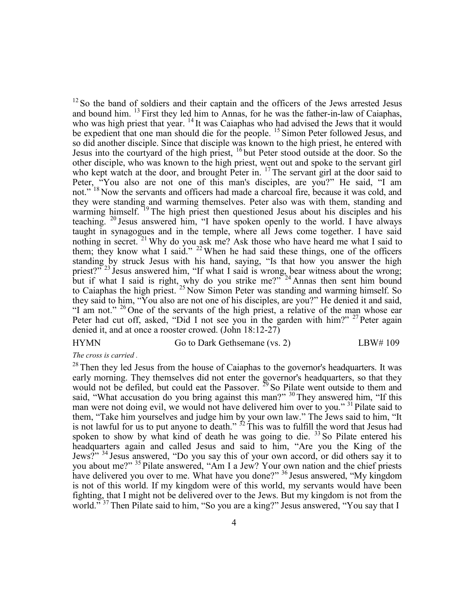$12$  So the band of soldiers and their captain and the officers of the Jews arrested Jesus and bound him.  $^{13}$  First they led him to Annas, for he was the father-in-law of Caiaphas, who was high priest that year. <sup>14</sup> It was Caiaphas who had advised the Jews that it would be expedient that one man should die for the people. <sup>15</sup> Simon Peter followed Jesus, and so did another disciple. Since that disciple was known to the high priest, he entered with Jesus into the courtyard of the high priest, <sup>16</sup> but Peter stood outside at the door. So the other disciple, who was known to the high priest, went out and spoke to the servant girl who kept watch at the door, and brought Peter in.  $^{17}$  The servant girl at the door said to Peter, "You also are not one of this man's disciples, are you?" He said, "I am not."<sup>18</sup> Now the servants and officers had made a charcoal fire, because it was cold, and they were standing and warming themselves. Peter also was with them, standing and warming himself. <sup>19</sup> The high priest then questioned Jesus about his disciples and his teaching.  $20$  Jesus answered him, "I have spoken openly to the world. I have always taught in synagogues and in the temple, where all Jews come together. I have said nothing in secret.<sup>21</sup> Why do you ask me? Ask those who have heard me what I said to them; they know what I said."  $22$  When he had said these things, one of the officers standing by struck Jesus with his hand, saying, "Is that how you answer the high priest?"<sup>23</sup> Jesus answered him, "If what I said is wrong, bear witness about the wrong; but if what I said is right, why do you strike me?"<sup>24</sup> Annas then sent him bound to Caiaphas the high priest.<sup>25</sup> Now Simon Peter was standing and warming himself. So they said to him, "You also are not one of his disciples, are you?" He denied it and said, "I am not." <sup>26</sup> One of the servants of the high priest, a relative of the man whose ear Peter had cut off, asked, "Did I not see you in the garden with him?"  $27$  Peter again denied it, and at once a rooster crowed. (John 18:12-27)

#### HYMN Go to Dark Gethsemane (vs. 2) LBW# 109

#### *The cross is carried .*

 $28$  Then they led Jesus from the house of Caiaphas to the governor's headquarters. It was early morning. They themselves did not enter the governor's headquarters, so that they would not be defiled, but could eat the Passover.  $^{29}$  So Pilate went outside to them and said, "What accusation do you bring against this man?" <sup>30</sup> They answered him, "If this man were not doing evil, we would not have delivered him over to you." <sup>31</sup> Pilate said to them, "Take him yourselves and judge him by your own law." The Jews said to him, "It is not lawful for us to put anyone to death."  $^{32}$  This was to fulfill the word that Jesus had spoken to show by what kind of death he was going to die.  $33$  So Pilate entered his headquarters again and called Jesus and said to him, "Are you the King of the Jews?" <sup>34</sup> Jesus answered, "Do you say this of your own accord, or did others say it to you about me?" <sup>35</sup> Pilate answered, "Am I a Jew? Your own nation and the chief priests have delivered you over to me. What have you done?" <sup>36</sup> Jesus answered, "My kingdom is not of this world. If my kingdom were of this world, my servants would have been fighting, that I might not be delivered over to the Jews. But my kingdom is not from the world."<sup>37</sup> Then Pilate said to him, "So you are a king?" Jesus answered, "You say that I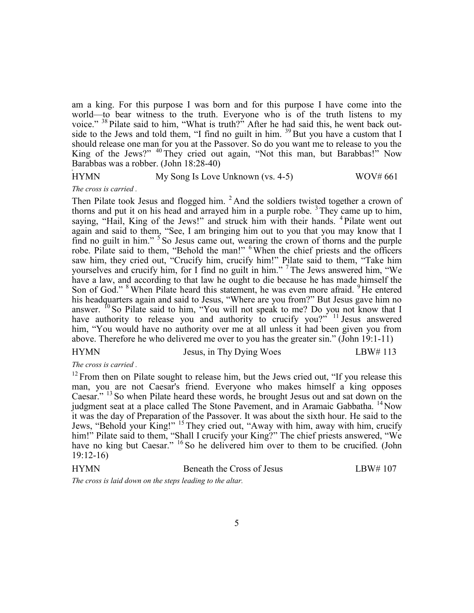am a king. For this purpose I was born and for this purpose I have come into the world—to bear witness to the truth. Everyone who is of the truth listens to my voice." <sup>38</sup> Pilate said to him, "What is truth?" After he had said this, he went back outside to the Jews and told them, "I find no guilt in him.  $39$  But you have a custom that I should release one man for you at the Passover. So do you want me to release to you the King of the Jews?" <sup>40</sup> They cried out again, "Not this man, but Barabbas!" Now Barabbas was a robber. (John 18:28-40)

# HYMN My Song Is Love Unknown (vs. 4-5) WOV# 661

*The cross is carried .*

c

Then Pilate took Jesus and flogged him. <sup>2</sup> And the soldiers twisted together a crown of thorns and put it on his head and arrayed him in a purple robe.  $3$  They came up to him, saying, "Hail, King of the Jews!" and struck him with their hands. <sup>4</sup> Pilate went out again and said to them, "See, I am bringing him out to you that you may know that I find no guilt in him."<sup>5</sup> So Jesus came out, wearing the crown of thorns and the purple robe. Pilate said to them, "Behold the man!" <sup>6</sup> When the chief priests and the officers saw him, they cried out, "Crucify him, crucify him!" Pilate said to them, "Take him yourselves and crucify him, for I find no guilt in him." <sup>7</sup> The Jews answered him, "We have a law, and according to that law he ought to die because he has made himself the Son of God." <sup>8</sup> When Pilate heard this statement, he was even more afraid. <sup>9</sup>He entered his headquarters again and said to Jesus, "Where are you from?" But Jesus gave him no answer.  $^{10}$  So Pilate said to him, "You will not speak to me? Do you not know that I have authority to release you and authority to crucify you?"  $\frac{11}{11}$  Jesus answered him, "You would have no authority over me at all unless it had been given you from above. Therefore he who delivered me over to you has the greater sin." (John 19:1-11)

# HYMN Jesus, in Thy Dying Woes LBW# 113

*The cross is carried .*

 $12$  From then on Pilate sought to release him, but the Jews cried out, "If you release this man, you are not Caesar's friend. Everyone who makes himself a king opposes Caesar." <sup>13</sup> So when Pilate heard these words, he brought Jesus out and sat down on the judgment seat at a place called The Stone Pavement, and in Aramaic Gabbatha. <sup>14</sup>Now it was the day of Preparation of the Passover. It was about the sixth hour. He said to the Jews, "Behold your King!" <sup>15</sup> They cried out, "Away with him, away with him, crucify him!" Pilate said to them, "Shall I crucify your King?" The chief priests answered, "We have no king but Caesar." <sup>16</sup> So he delivered him over to them to be crucified. (John 19:12-16)

| LBW#107 |
|---------|
|         |

*The cross is laid down on the steps leading to the altar.*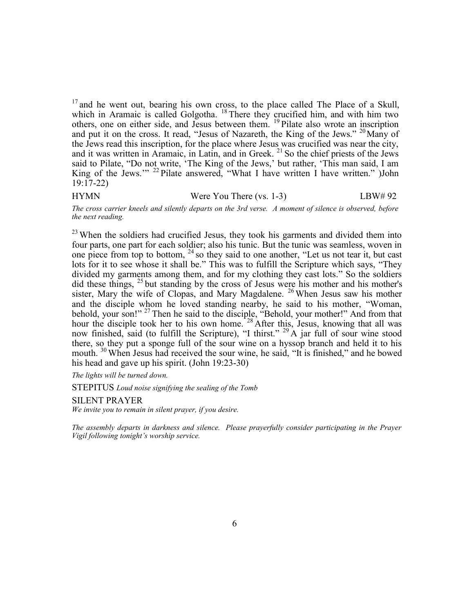$17$  and he went out, bearing his own cross, to the place called The Place of a Skull, which in Aramaic is called Golgotha. <sup>18</sup> There they crucified him, and with him two others, one on either side, and Jesus between them. <sup>19</sup> Pilate also wrote an inscription and put it on the cross. It read, "Jesus of Nazareth, the King of the Jews."  $20$  Many of the Jews read this inscription, for the place where Jesus was crucified was near the city, and it was written in Aramaic, in Latin, and in Greek.  $21$  So the chief priests of the Jews said to Pilate, "Do not write, 'The King of the Jews,' but rather, 'This man said, I am King of the Jews."<sup>22</sup> Pilate answered, "What I have written I have written." )John 19:17-22)

HYMN Were You There (vs. 1-3) LBW# 92

*The cross carrier kneels and silently departs on the 3rd verse. A moment of silence is observed, before the next reading.*

<sup>23</sup> When the soldiers had crucified Jesus, they took his garments and divided them into four parts, one part for each soldier; also his tunic. But the tunic was seamless, woven in one piece from top to bottom, <sup>24</sup> so they said to one another, "Let us not tear it, but cast lots for it to see whose it shall be." This was to fulfill the Scripture which says, "They divided my garments among them, and for my clothing they cast lots." So the soldiers did these things, <sup>25</sup> but standing by the cross of Jesus were his mother and his mother's sister, Mary the wife of Clopas, and Mary Magdalene. <sup>26</sup> When Jesus saw his mother and the disciple whom he loved standing nearby, he said to his mother, "Woman, behold, your son!"<sup>27</sup> Then he said to the disciple, "Behold, your mother!" And from that hour the disciple took her to his own home.<sup>28</sup> After this, Jesus, knowing that all was now finished, said (to fulfill the Scripture), "I thirst." <sup>29</sup> A jar full of sour wine stood there, so they put a sponge full of the sour wine on a hyssop branch and held it to his mouth. <sup>30</sup> When Jesus had received the sour wine, he said, "It is finished," and he bowed his head and gave up his spirit. (John 19:23-30)

*The lights will be turned down.*

STEPITUS *Loud noise signifying the sealing of the Tomb*

SILENT PRAYER *We invite you to remain in silent prayer, if you desire.*

*The assembly departs in darkness and silence. Please prayerfully consider participating in the Prayer Vigil following tonight's worship service.*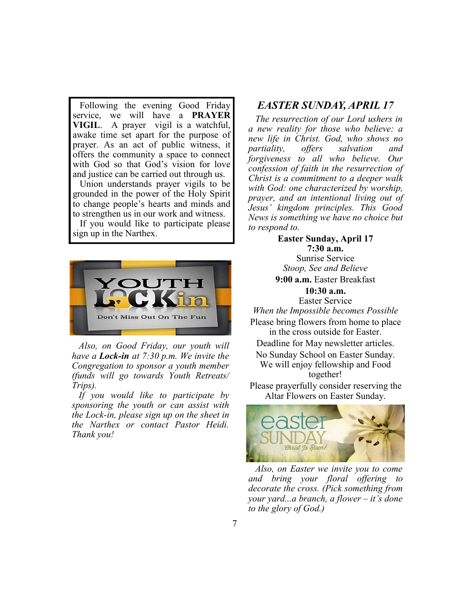Following the evening Good Friday service, we will have a **PRAYER VIGIL**. A prayer vigil is a watchful, awake time set apart for the purpose of prayer. As an act of public witness, it offers the community a space to connect with God so that God's vision for love and justice can be carried out through us.

 Union understands prayer vigils to be grounded in the power of the Holy Spirit to change people's hearts and minds and to strengthen us in our work and witness.

 If you would like to participate please sign up in the Narthex.



 *Also, on Good Friday, our youth will have a Lock-in at 7:30 p.m. We invite the Congregation to sponsor a youth member (funds will go towards Youth Retreats/ Trips).*

 *If you would like to participate by sponsoring the youth or can assist with the Lock-in, please sign up on the sheet in the Narthex or contact Pastor Heidi. Thank you!*

# *EASTER SUNDAY, APRIL 17*

 *The resurrection of our Lord ushers in a new reality for those who believe: a new life in Christ. God, who shows no partiality, offers salvation and forgiveness to all who believe. Our confession of faith in the resurrection of Christ is a commitment to a deeper walk with God: one characterized by worship, prayer, and an intentional living out of Jesus' kingdom principles. This Good News is something we have no choice but to respond to.*

**Easter Sunday, April 17 7:30 a.m.**  Sunrise Service *Stoop, See and Believe* **9:00 a.m.** Easter Breakfast **10:30 a.m.**  Easter Service *When the Impossible becomes Possible* Please bring flowers from home to place in the cross outside for Easter. Deadline for May newsletter articles. No Sunday School on Easter Sunday. We will enjoy fellowship and Food together! Please prayerfully consider reserving the Altar Flowers on Easter Sunday.



 *Also, on Easter we invite you to come and bring your floral offering to decorate the cross. (Pick something from your yard...a branch, a flower – it's done to the glory of God.)*